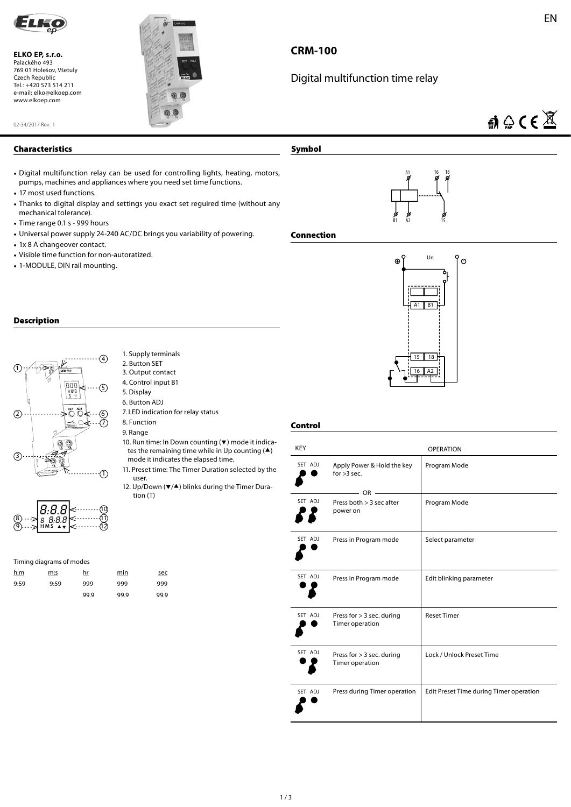

**ELKO EP, s.r.o.**  Palackého 493 769 01 Holešov, Všetuly Czech Republic Tel.: +420 573 514 211 e-mail: elko@elkoep.com www.elkoep.com



# **CRM-100**

# Digital multifunction time relay

## EN

 $\mathbf{a} \oplus \mathbf{C} \in \mathbb{X}$ 

### **Characteristics**

02-34/2017 Rev.: 1

- Digital multifunction relay can be used for controlling lights, heating, motors, pumps, machines and appliances where you need set time functions.
- 17 most used functions.
- Thanks to digital display and settings you exact set reguired time (without any mechanical tolerance).

1. Supply terminals 2. Button SET 3. Output contact 4. Control input B1 5. Display 6. Button ADJ

8. Function 9. Range

user.

tion (T)

7. LED indication for relay status

mode it indicates the elapsed time.

10. Run time: In Down counting  $(\blacktriangledown)$  mode it indicates the remaining time while in Up counting  $($ 

11. Preset time: The Timer Duration selected by the

12. Up/Down ( $\blacktriangledown/\blacktriangle$ ) blinks during the Timer Dura-

- Time range 0.1 s 999 hours
- Universal power supply 24-240 AC/DC brings you variability of powering.
- 1x 8 A changeover contact.
- Visible time function for non-autoratized.
- 1-MODULE, DIN rail mounting.

### **Description**







### Timing diagrams of modes

| <u>h:m</u> | m:s  | hr   | min  | sec  |
|------------|------|------|------|------|
| 9:59       | 9:59 | 999  | 999  | 999  |
|            |      | 99.9 | 99.9 | 99.9 |



### **Connection**

**Symbol**



### **Control**

| <b>KEY</b> | <b>OPERATION</b>                                 |                                         |  |
|------------|--------------------------------------------------|-----------------------------------------|--|
| SET ADJ    | Apply Power & Hold the key<br>for $>3$ sec.      | Program Mode                            |  |
| SET ADJ    | $OR =$<br>Press both $>$ 3 sec after<br>power on | Program Mode                            |  |
| SET ADJ    | Press in Program mode                            | Select parameter                        |  |
| SET ADJ    | Press in Program mode                            | Edit blinking parameter                 |  |
| SET ADJ    | Press for > 3 sec. during<br>Timer operation     | <b>Reset Timer</b>                      |  |
| SET ADJ    | Press for $> 3$ sec. during<br>Timer operation   | Lock / Unlock Preset Time               |  |
| SET ADJ    | Press during Timer operation                     | Edit Preset Time during Timer operation |  |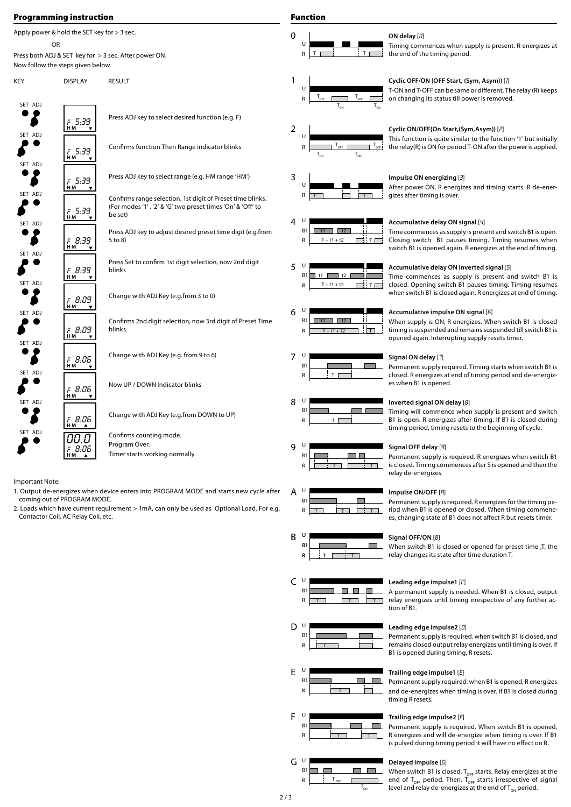### **Programming instruction**

Apply power & hold the SET key for > 3 sec. OR

Press both ADJ & SET key for > 3 sec. After power ON. Now follow the steps given below

KEY DISPLAY RESULT

SET ADJ  $\boldsymbol{\zeta}$ <sup>F</sup> 5:39 **H M** SET ADJ  $\boldsymbol{\zeta}$ <sup>f</sup> 5:39 **H M** SET ADJ  $\boldsymbol{\zeta}$ <sup>f</sup> 5:39 **H M** SET ADJ  $\boldsymbol{\zeta}$ <sup>f</sup> 5:39 **H M** SET ADJ  $\boldsymbol{\zeta}$ <sup>f</sup> 8:39 **H M** SET ADJ  $\boldsymbol{\zeta}$ <sup>f</sup> 8:39 **H M** SET ADJ  $\boldsymbol{\zeta}$ <sup>f</sup> 8:09 **H M** SET ADJ ●  $\boldsymbol{\zeta}$ <sup>f</sup> 8:09 **H M** SET ADJ  $\boldsymbol{\zeta}$ <sup>f</sup> 8:06 **H M** SET ADJ  $\boldsymbol{\zeta}$ <sup>f</sup> 8:06 **H M** SET ADJ  $\boldsymbol{\zeta}$ <sup>f</sup> 8:06 **H M** SET ADJ 00.0  $\boldsymbol{\zeta}$ <sup>f</sup> 8:06 **H M**

Press ADJ key to select desired function (e.g. F) Confirms function Then Range indicator blinks Press ADJ key to select range (e.g. HM range 'HM') Confirms range selection. 1st digit of Preset time blinks. (For modes '1' , '2' & 'G' two preset times 'On' & 'Off ' to be set) Change with ADJ Key (e.g.from 3 to 0) Press Set to confirm 1st digit selection, now 2nd digit blinks Press ADJ key to adjust desired preset time digit (e.g.from 5 to 8) Confirms 2nd digit selection, now 3rd digit of Preset Time blinks. Change with ADJ Key (e.g. from 9 to 6) Now UP / DOWN Indicator blinks Change with ADJ Key (e.g.from DOWN to UP) Confirms counting mode.

Important Note:

1. Output de-energizes when device enters into PROGRAM MODE and starts new cycle after coming out of PROGRAM MODE.

Timer starts working normally.

Program Over.

2. Loads which have current requirement > 1mA, can only be used as Optional Load. For e.g. Contactor Coil, AC Relay Coil, etc.

## **Function**



### 1  $T_{\text{OFF}}$  $T_{_{\text{ON}}}$  $T_{_{\text{OFF}}}$  $T_{_{\text{ON}}}$ U R



### 3 T T U R







| U  |  |  |
|----|--|--|
| B1 |  |  |
| R  |  |  |

| 8 | U              |  |
|---|----------------|--|
|   | B <sub>1</sub> |  |
|   | R              |  |

| U              |                                          |
|----------------|------------------------------------------|
| B <sub>1</sub> | Signal OFF delay [9]<br>Permanent supply |
|                | is closed. Timing co                     |
|                | relay de-energizes.                      |

| н |  |   |
|---|--|---|
| Β |  |   |
| R |  | ٠ |



| п              |  |  |
|----------------|--|--|
| B <sub>1</sub> |  |  |
| ĸ              |  |  |





### F U **B**1 ۰  $\Box$  $R$   $\overline{1}$   $\overline{1}$   $\overline{1}$   $\overline{1}$   $\overline{1}$   $\overline{1}$   $\overline{1}$   $\overline{1}$   $\overline{1}$   $\overline{1}$   $\overline{1}$   $\overline{1}$   $\overline{1}$   $\overline{1}$   $\overline{1}$   $\overline{1}$   $\overline{1}$   $\overline{1}$   $\overline{1}$   $\overline{1}$   $\overline{1}$   $\overline{1}$   $\overline{1}$   $\overline{1}$   $\mathsf{T}$



### **Cyclic OFF/ON {OFF Start, (Sym, Asym)}** [1]

T-ON and T-OFF can be same or different. The relay (R) keeps on changing its status till power is removed.

Timing commences when supply is present. R energizes at

### **Cyclic ON/OFF{On Start,(Sym,Asym)}** [2]

This function is quite similar to the function '1' but initially the relay(R) is ON for period T-ON after the power is applied.

### **Impulse ON energizing** [3]

the end of the timing period.

**ON delay** [0]

After power ON, R energizes and timing starts. R de-energizes after timing is over.

### **Accumulative delay ON signal** [4]

Time commences as supply is present and switch B1 is open. Closing switch B1 pauses timing. Timing resumes when switch B1 is opened again. R energizes at the end of timing.

### **Accumulative delay ON inverted signal** [5]

Time commences as supply is present and switch B1 is closed. Opening switch B1 pauses timing. Timing resumes when switch B1 is closed again. R energizes at end of timing.



| 8 ⊍       | Inverted signal ON delay [8]                                 |
|-----------|--------------------------------------------------------------|
| <b>B1</b> | Timing will commence when supply is present and switch       |
|           | B1 is open. R energizes after timing. If B1 is closed during |
|           | timing period, timing resets to the beginning of cycle.      |

|  | Signal OFF delay [9]                                       |
|--|------------------------------------------------------------|
|  |                                                            |
|  | Permanent supply is required. R energizes when switch B1   |
|  |                                                            |
|  | is closed. Timing commences after S is opened and then the |







### **Leading edge impulse1** [C]

A permanent supply is needed. When B1 is closed, output relay energizes until timing irrespective of any further action of B1.

Permanent supply is required. R energizes for the timing period when B1 is opened or closed. When timing commences, changing state of B1 does not affect R but resets timer.

### **Leading edge impulse2** [d]

Permanent supply is required. when switch B1 is closed, and remains closed output relay energizes until timing is over. If B1 is opened during timing, R resets.

### **Trailing edge impulse1** [E]

Permanent supply required. when B1 is opened, R energizes and de-energizes when timing is over. If B1 is closed during timing R resets.

### **Trailing edge impulse2** [F]

Permanent supply is required. When switch B1 is opened, R energizes and will de-energize when timing is over. If B1 is pulsed during timing period it will have no effect on R.

### **Delayed impulse** [G]

When switch B1 is closed,  $T_{\text{OFF}}$  starts. Relay energizes at the end of  $T_{\text{OFF}}$  period. Then,  $T_{\text{OFF}}$  starts irrespective of signal level and relay de-energizes at the end of  $\mathsf{T}_{_{\mathsf{ON}}}$  period.